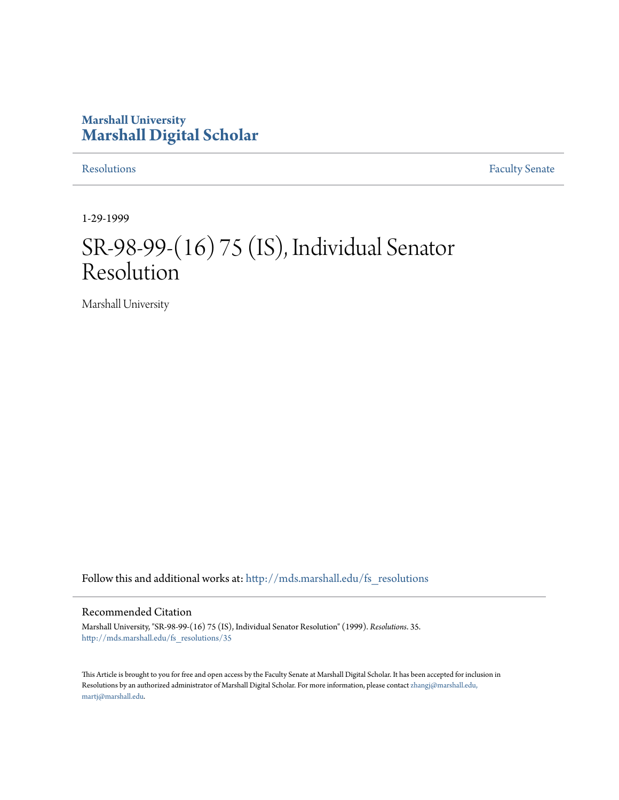## **Marshall University [Marshall Digital Scholar](http://mds.marshall.edu?utm_source=mds.marshall.edu%2Ffs_resolutions%2F35&utm_medium=PDF&utm_campaign=PDFCoverPages)**

[Resolutions](http://mds.marshall.edu/fs_resolutions?utm_source=mds.marshall.edu%2Ffs_resolutions%2F35&utm_medium=PDF&utm_campaign=PDFCoverPages) [Faculty Senate](http://mds.marshall.edu/fs?utm_source=mds.marshall.edu%2Ffs_resolutions%2F35&utm_medium=PDF&utm_campaign=PDFCoverPages)

1-29-1999

# SR-98-99-(16) 75 (IS), Individual Senator Resolution

Marshall University

Follow this and additional works at: [http://mds.marshall.edu/fs\\_resolutions](http://mds.marshall.edu/fs_resolutions?utm_source=mds.marshall.edu%2Ffs_resolutions%2F35&utm_medium=PDF&utm_campaign=PDFCoverPages)

#### Recommended Citation

Marshall University, "SR-98-99-(16) 75 (IS), Individual Senator Resolution" (1999). *Resolutions*. 35. [http://mds.marshall.edu/fs\\_resolutions/35](http://mds.marshall.edu/fs_resolutions/35?utm_source=mds.marshall.edu%2Ffs_resolutions%2F35&utm_medium=PDF&utm_campaign=PDFCoverPages)

This Article is brought to you for free and open access by the Faculty Senate at Marshall Digital Scholar. It has been accepted for inclusion in Resolutions by an authorized administrator of Marshall Digital Scholar. For more information, please contact [zhangj@marshall.edu,](mailto:zhangj@marshall.edu,%20martj@marshall.edu) [martj@marshall.edu](mailto:zhangj@marshall.edu,%20martj@marshall.edu).